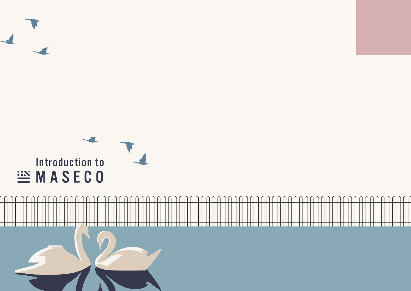

 $\cap$  $\cap$  $\cap$ 

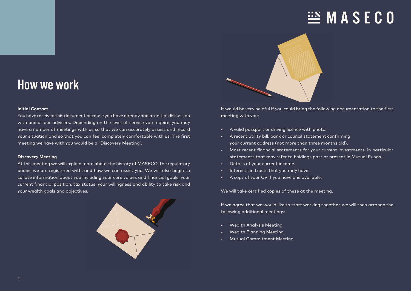# $\mathbb{H}$  MASECO



# How we work

# **Initial Contact**

You have received this document because you have already had an initial discussion with one of our advisers. Depending on the level of service you require, you may have a number of meetings with us so that we can accurately assess and record your situation and so that you can feel completely comfortable with us. The first meeting we have with you would be a "Discovery Meeting".

## **Discovery Meeting**

At this meeting we will explain more about the history of MASECO, the regulatory bodies we are registered with, and how we can assist you. We will also begin to collate information about you including your core values and financial goals, your current financial position, tax status, your willingness and ability to take risk and your wealth goals and objectives.



It would be very helpful if you could bring the following documentation to the first meeting with you:

- A valid passport or driving licence with photo.
- A recent utility bill, bank or council statement confirming your current address (not more than three months old).
- Most recent financial statements for your current investments, in particular statements that may refer to holdings past or present in Mutual Funds.
- Details of your current income.
- Interests in trusts that you may have.
- A copy of your CV if you have one available.

We will take certified copies of these at the meeting.

If we agree that we would like to start working together, we will then arrange the following additional meetings:

- Wealth Analysis Meeting
- Wealth Planning Meeting
- Mutual Commitment Meeting